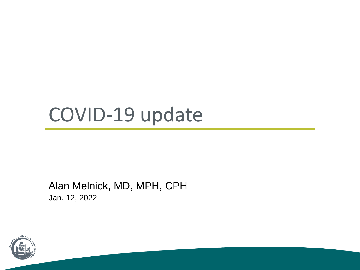# COVID-19 update

Alan Melnick, MD, MPH, CPH Jan. 12, 2022

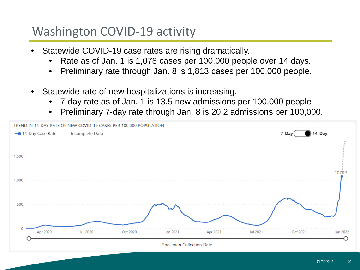## Washington COVID-19 activity

- Statewide COVID-19 case rates are rising dramatically.
	- Rate as of Jan. 1 is 1,078 cases per 100,000 people over 14 days.
	- Preliminary rate through Jan. 8 is 1,813 cases per 100,000 people.
- Statewide rate of new hospitalizations is increasing.
	- 7-day rate as of Jan. 1 is 13.5 new admissions per 100,000 people
	- Preliminary 7-day rate through Jan. 8 is 20.2 admissions per 100,000.

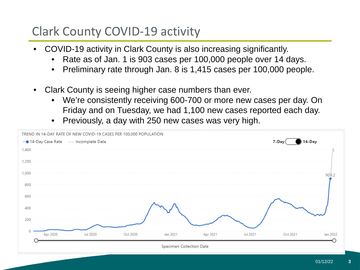# Clark County COVID-19 activity

- COVID-19 activity in Clark County is also increasing significantly.
	- Rate as of Jan. 1 is 903 cases per 100,000 people over 14 days.
	- Preliminary rate through Jan. 8 is 1,415 cases per 100,000 people.
- Clark County is seeing higher case numbers than ever.
	- We're consistently receiving 600-700 or more new cases per day. On Friday and on Tuesday, we had 1,100 new cases reported each day.
	- Previously, a day with 250 new cases was very high.

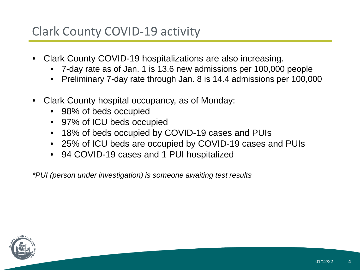# Clark County COVID-19 activity

- Clark County COVID-19 hospitalizations are also increasing.
	- 7-day rate as of Jan. 1 is 13.6 new admissions per 100,000 people
	- Preliminary 7-day rate through Jan. 8 is 14.4 admissions per 100,000
- Clark County hospital occupancy, as of Monday:
	- 98% of beds occupied
	- 97% of ICU beds occupied
	- 18% of beds occupied by COVID-19 cases and PUIs
	- 25% of ICU beds are occupied by COVID-19 cases and PUIs
	- 94 COVID-19 cases and 1 PUI hospitalized

*\*PUI (person under investigation) is someone awaiting test results*

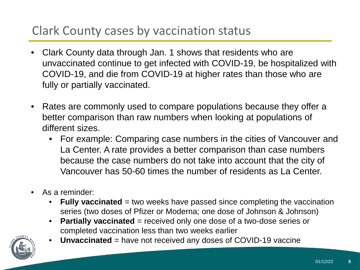# Clark County cases by vaccination status

- Clark County data through Jan. 1 shows that residents who are unvaccinated continue to get infected with COVID-19, be hospitalized with COVID-19, and die from COVID-19 at higher rates than those who are fully or partially vaccinated.
- Rates are commonly used to compare populations because they offer a better comparison than raw numbers when looking at populations of different sizes.
	- For example: Comparing case numbers in the cities of Vancouver and La Center. A rate provides a better comparison than case numbers because the case numbers do not take into account that the city of Vancouver has 50-60 times the number of residents as La Center.
- As a reminder:
	- **Fully vaccinated** = two weeks have passed since completing the vaccination series (two doses of Pfizer or Moderna; one dose of Johnson & Johnson)
	- **Partially vaccinated** = received only one dose of a two-dose series or completed vaccination less than two weeks earlier



• **Unvaccinated** = have not received any doses of COVID-19 vaccine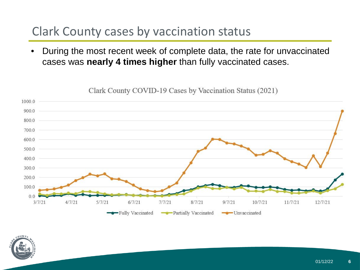# Clark County cases by vaccination status

• During the most recent week of complete data, the rate for unvaccinated cases was **nearly 4 times higher** than fully vaccinated cases.

10000 900.0 8000 700.0 600.0 500.0 400.0 300.0 200.0 100.0  $0<sub>0</sub>$  $8/7/21$  $3/7/21$  $4/7/21$  $5/7/21$  $6/7/21$  $7/7/21$  $9/7/21$  $10/7/21$  $11/7/21$ 12/7/21 -Fully Vaccinated Partially Vaccinated  $\longrightarrow$  Unvaccinated

Clark County COVID-19 Cases by Vaccination Status (2021)

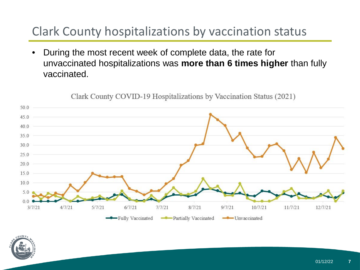# Clark County hospitalizations by vaccination status

• During the most recent week of complete data, the rate for unvaccinated hospitalizations was **more than 6 times higher** than fully vaccinated.



Clark County COVID-19 Hospitalizations by Vaccination Status (2021)

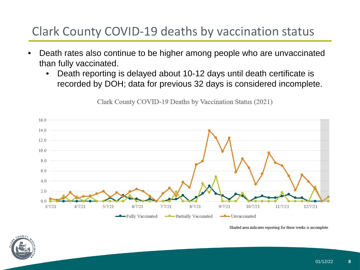# Clark County COVID-19 deaths by vaccination status

- Death rates also continue to be higher among people who are unvaccinated than fully vaccinated.
	- Death reporting is delayed about 10-12 days until death certificate is recorded by DOH; data for previous 32 days is considered incomplete.



Clark County COVID-19 Deaths by Vaccination Status (2021)

Shaded area indicates reporting for these weeks is incomplete

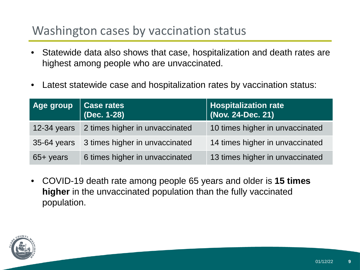# Washington cases by vaccination status

- Statewide data also shows that case, hospitalization and death rates are highest among people who are unvaccinated.
- Latest statewide case and hospitalization rates by vaccination status:

| Age group           | <b>Case rates</b><br>(Dec. 1-28)           | Hospitalization rate<br>  (Nov. 24-Dec. 21) |
|---------------------|--------------------------------------------|---------------------------------------------|
|                     | 12-34 years 2 times higher in unvaccinated | 10 times higher in unvaccinated             |
|                     | 35-64 years 3 times higher in unvaccinated | 14 times higher in unvaccinated             |
| $65 + \text{years}$ | 6 times higher in unvaccinated             | 13 times higher in unvaccinated             |

• COVID-19 death rate among people 65 years and older is **15 times higher** in the unvaccinated population than the fully vaccinated population.

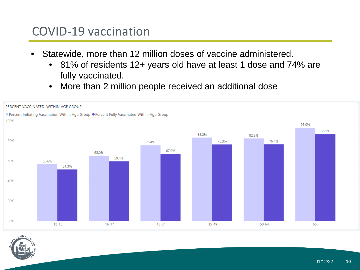## COVID-19 vaccination

- Statewide, more than 12 million doses of vaccine administered.
	- 81% of residents 12+ years old have at least 1 dose and 74% are fully vaccinated.
	- More than 2 million people received an additional dose



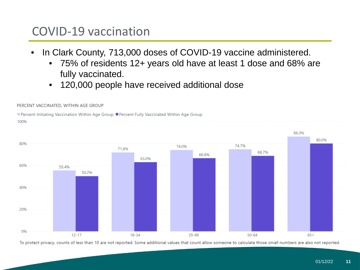## COVID-19 vaccination

- In Clark County, 713,000 doses of COVID-19 vaccine administered.
	- 75% of residents 12+ years old have at least 1 dose and 68% are fully vaccinated.
	- 120,000 people have received additional dose



To protect privacy, counts of less than 10 are not reported. Some additional values that count allow someone to calculate those small numbers are also not reported.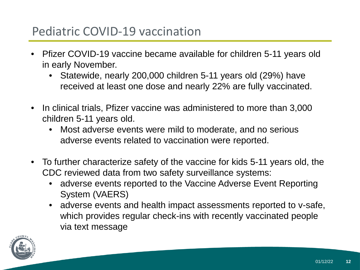# Pediatric COVID-19 vaccination

- Pfizer COVID-19 vaccine became available for children 5-11 years old in early November.
	- Statewide, nearly 200,000 children 5-11 years old (29%) have received at least one dose and nearly 22% are fully vaccinated.
- In clinical trials, Pfizer vaccine was administered to more than 3,000 children 5-11 years old.
	- Most adverse events were mild to moderate, and no serious adverse events related to vaccination were reported.
- To further characterize safety of the vaccine for kids 5-11 years old, the CDC reviewed data from two safety surveillance systems:
	- adverse events reported to the Vaccine Adverse Event Reporting System (VAERS)
	- adverse events and health impact assessments reported to v-safe, which provides regular check-ins with recently vaccinated people via text message

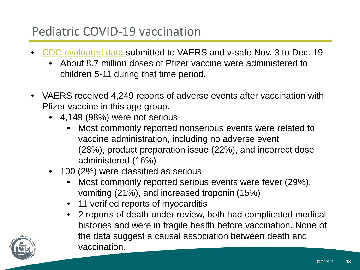# Pediatric COVID-19 vaccination

- [CDC evaluated data s](https://www.cdc.gov/mmwr/volumes/70/wr/mm705152a1.htm)ubmitted to VAERS and v-safe Nov. 3 to Dec. 19
	- About 8.7 million doses of Pfizer vaccine were administered to children 5-11 during that time period.
- VAERS received 4,249 reports of adverse events after vaccination with Pfizer vaccine in this age group.
	- 4,149 (98%) were not serious
		- Most commonly reported nonserious events were related to vaccine administration, including no adverse event (28%), product preparation issue (22%), and incorrect dose administered (16%)
	- 100 (2%) were classified as serious
		- Most commonly reported serious events were fever (29%), vomiting (21%), and increased troponin (15%)
		- 11 verified reports of myocarditis
		- 2 reports of death under review, both had complicated medical histories and were in fragile health before vaccination. None of the data suggest a causal association between death and vaccination.

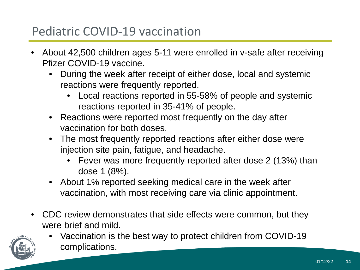# Pediatric COVID-19 vaccination

- About 42,500 children ages 5-11 were enrolled in v-safe after receiving Pfizer COVID-19 vaccine.
	- During the week after receipt of either dose, local and systemic reactions were frequently reported.
		- Local reactions reported in 55-58% of people and systemic reactions reported in 35-41% of people.
	- Reactions were reported most frequently on the day after vaccination for both doses.
	- The most frequently reported reactions after either dose were injection site pain, fatigue, and headache.
		- Fever was more frequently reported after dose 2 (13%) than dose 1 (8%).
	- About 1% reported seeking medical care in the week after vaccination, with most receiving care via clinic appointment.
- CDC review demonstrates that side effects were common, but they were brief and mild.



• Vaccination is the best way to protect children from COVID-19 complications.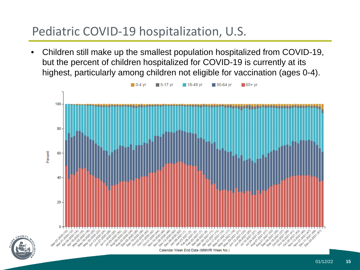# Pediatric COVID-19 hospitalization, U.S.

• Children still make up the smallest population hospitalized from COVID-19, but the percent of children hospitalized for COVID-19 is currently at its highest, particularly among children not eligible for vaccination (ages 0-4).



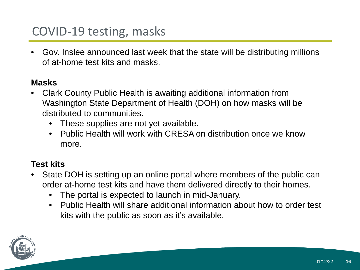# COVID-19 testing, masks

• Gov. Inslee announced last week that the state will be distributing millions of at-home test kits and masks.

#### **Masks**

- Clark County Public Health is awaiting additional information from Washington State Department of Health (DOH) on how masks will be distributed to communities.
	- These supplies are not yet available.
	- Public Health will work with CRESA on distribution once we know more.

#### **Test kits**

- State DOH is setting up an online portal where members of the public can order at-home test kits and have them delivered directly to their homes.
	- The portal is expected to launch in mid-January.
	- Public Health will share additional information about how to order test kits with the public as soon as it's available.